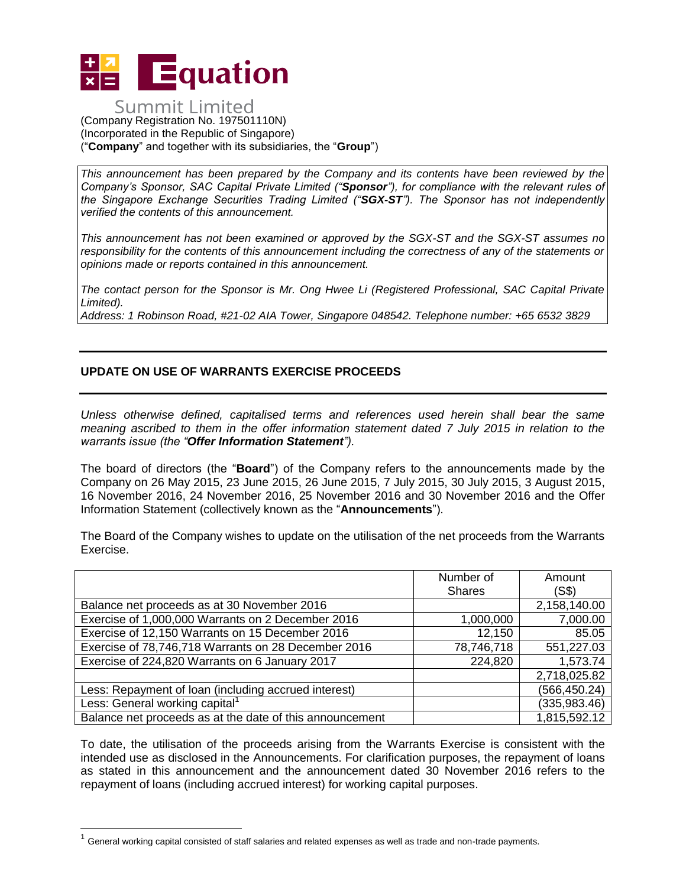

## **Summit Limited** (Company Registration No. 197501110N) (Incorporated in the Republic of Singapore) ("**Company**" and together with its subsidiaries, the "**Group**")

*This announcement has been prepared by the Company and its contents have been reviewed by the Company's Sponsor, SAC Capital Private Limited ("Sponsor"), for compliance with the relevant rules of the Singapore Exchange Securities Trading Limited ("SGX-ST"). The Sponsor has not independently verified the contents of this announcement.* 

*This announcement has not been examined or approved by the SGX-ST and the SGX-ST assumes no responsibility for the contents of this announcement including the correctness of any of the statements or opinions made or reports contained in this announcement.* 

*The contact person for the Sponsor is Mr. Ong Hwee Li (Registered Professional, SAC Capital Private Limited).*

*Address: 1 Robinson Road, #21-02 AIA Tower, Singapore 048542. Telephone number: +65 6532 3829*

## **UPDATE ON USE OF WARRANTS EXERCISE PROCEEDS**

*Unless otherwise defined, capitalised terms and references used herein shall bear the same meaning ascribed to them in the offer information statement dated 7 July 2015 in relation to the warrants issue (the "Offer Information Statement").*

The board of directors (the "**Board**") of the Company refers to the announcements made by the Company on 26 May 2015, 23 June 2015, 26 June 2015, 7 July 2015, 30 July 2015, 3 August 2015, 16 November 2016, 24 November 2016, 25 November 2016 and 30 November 2016 and the Offer Information Statement (collectively known as the "**Announcements**").

The Board of the Company wishes to update on the utilisation of the net proceeds from the Warrants Exercise.

|                                                          | Number of     | Amount        |
|----------------------------------------------------------|---------------|---------------|
|                                                          | <b>Shares</b> | (S\$)         |
| Balance net proceeds as at 30 November 2016              |               | 2,158,140.00  |
| Exercise of 1,000,000 Warrants on 2 December 2016        | 1,000,000     | 7,000.00      |
| Exercise of 12,150 Warrants on 15 December 2016          | 12,150        | 85.05         |
| Exercise of 78,746,718 Warrants on 28 December 2016      | 78,746,718    | 551,227.03    |
| Exercise of 224,820 Warrants on 6 January 2017           | 224,820       | 1,573.74      |
|                                                          |               | 2,718,025.82  |
| Less: Repayment of loan (including accrued interest)     |               | (566, 450.24) |
| Less: General working capital <sup>1</sup>               |               | (335, 983.46) |
| Balance net proceeds as at the date of this announcement |               | 1,815,592.12  |

To date, the utilisation of the proceeds arising from the Warrants Exercise is consistent with the intended use as disclosed in the Announcements. For clarification purposes, the repayment of loans as stated in this announcement and the announcement dated 30 November 2016 refers to the repayment of loans (including accrued interest) for working capital purposes.

 $\overline{a}$ 

 $1$  General working capital consisted of staff salaries and related expenses as well as trade and non-trade payments.